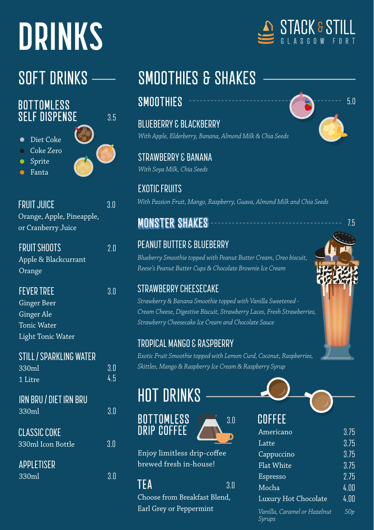# **DRINKS**

#### BOTTOMLESS SELF DISPENSE

- Diet Coke
- Coke Zero
- Sprite
- Fanta



3.5

FRUIT JUICE 3.0 Orange, Apple, Pineapple, or Cranberry Juice

| <b>FRUIT SHOOTS</b>  | 2.0 |
|----------------------|-----|
| Apple & Blackcurrant |     |
| Orange               |     |

#### **FEVER TREE** 3.0

Ginger Beer Ginger Ale Tonic Water Light Tonic Water

| <b>STILL / SPARKLING WATER</b><br>330ml  | 3.0 |
|------------------------------------------|-----|
| 1 Litre                                  | 45  |
| <b>IRN BRU / DIET IRN BRU</b><br>330ml   | 3.0 |
| <b>CLASSIC COKE</b><br>330ml Icon Bottle | 3.0 |
| <b>APPLETISER</b><br>330ml               |     |



### SOFT DRINKS - SMOOTHIES & SHAKES

#### SMOOTHIES 5.0

BLUEBERRY & BLACKBERRY *With Apple, Elderberry, Banana, Almond Milk & Chia Seeds*

STRAWBERRY & BANANA *With Soya Milk, Chia Seeds*

EXOTIC FRUITS *With Passion Fruit, Mango, Raspberry, Guava, Almond Milk and Chia Seeds*

#### **MONSTER SHAKES**

#### PEANUT BUTTER & BLUEBERRY

*Blueberry Smoothie topped with Peanut Butter Cream, Oreo biscuit, Reese's Peanut Butter Cups & Chocolate Brownie Ice Cream*

#### STRAWBERRY CHEESECAKE

*Strawberry & Banana Smoothie topped with Vanilla Sweetened - Cream Cheese, Digestive Biscuit, Strawberry Laces, Fresh Strawberries, Strawberry Cheesecake Ice Cream and Chocolate Sauce*

#### TROPICAL MANGO & RASPBERRY

*Exotic Fruit Smoothie topped with Lemon Curd, Coconut, Raspberries, Skittles, Mango & Raspberry Ice Cream & Raspberry Syrup*

### HOT DRINKS





Enjoy limitless drip-coffee brewed fresh in-house!

TFA 3.0

Choose from Breakfast Blend. Earl Grey or Peppermint



7.5

## **COEFEE**

| uul LL                                 |      |
|----------------------------------------|------|
| Americano                              | 3.75 |
| Latte                                  | 3.75 |
| Cappuccino                             | 3.75 |
| <b>Flat White</b>                      | 3.75 |
| Espresso                               | 2.75 |
| Mocha                                  | 4.00 |
| Luxury Hot Chocolate                   | 4.00 |
| Vanilla, Caramel or Hazelnut<br>Syrups | 50p  |